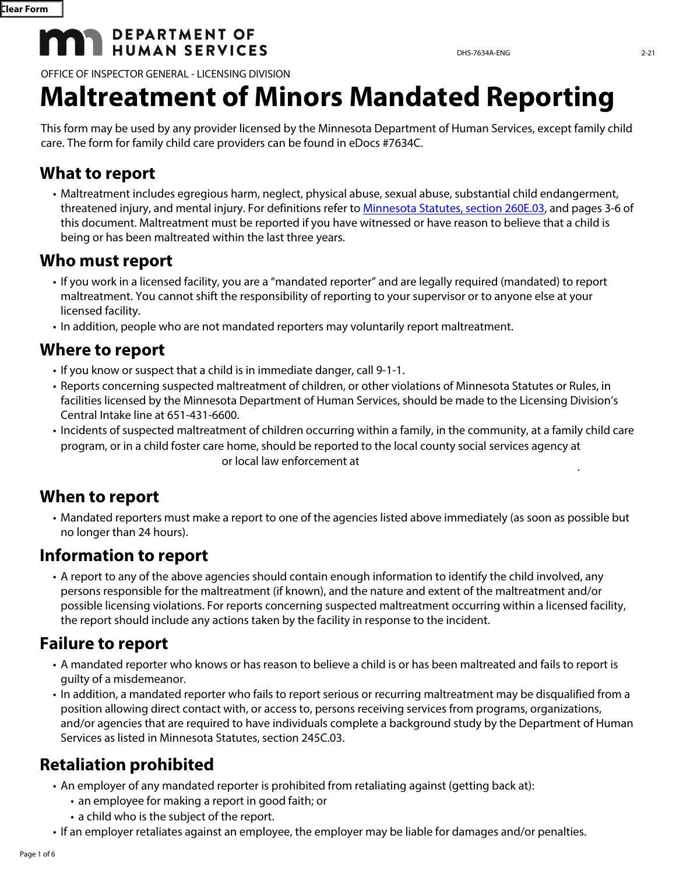# **MAN DEPARTMENT OF**

OFFICE OF INSPECTOR GENERAL - LICENSING DIVISION

# **Maltreatment of Minors Mandated Reporting**

This form may be used by any provider licensed by the Minnesota Department of Human Services, except family child care. The form for family child care providers can be found in eDocs #7634C.

#### **What to report**

• Maltreatment includes egregious harm, neglect, physical abuse, sexual abuse, substantial child endangerment, threatened injury, and mental injury. For definitions refer to [Minnesota Statutes, section 260E.03](https://www.revisor.mn.gov/statutes/cite/260E.03), and pages 3-6 of this document. Maltreatment must be reported if you have witnessed or have reason to believe that a child is being or has been maltreated within the last three years.

#### **Who must report**

- If you work in a licensed facility, you are a "mandated reporter" and are legally required (mandated) to report maltreatment. You cannot shift the responsibility of reporting to your supervisor or to anyone else at your licensed facility.
- In addition, people who are not mandated reporters may voluntarily report maltreatment.

# **Where to report**

- If you know or suspect that a child is in immediate danger, call 9-1-1.
- Reports concerning suspected maltreatment of children, or other violations of Minnesota Statutes or Rules, in facilities licensed by the Minnesota Department of Human Services, should be made to the Licensing Division's Central Intake line at 651-431-6600.
- Incidents of suspected maltreatment of children occurring within a family, in the community, at a family child care program, or in a child foster care home, should be reported to the local county social services agency at or local law enforcement at .

# **When to report**

• Mandated reporters must make a report to one of the agencies listed above immediately (as soon as possible but no longer than 24 hours).

# **Information to report**

• A report to any of the above agencies should contain enough information to identify the child involved, any persons responsible for the maltreatment (if known), and the nature and extent of the maltreatment and/or possible licensing violations. For reports concerning suspected maltreatment occurring within a licensed facility, the report should include any actions taken by the facility in response to the incident.

# **Failure to report**

- A mandated reporter who knows or has reason to believe a child is or has been maltreated and fails to report is guilty of a misdemeanor.
- In addition, a mandated reporter who fails to report serious or recurring maltreatment may be disqualified from a position allowing direct contact with, or access to, persons receiving services from programs, organizations, and/or agencies that are required to have individuals complete a background study by the Department of Human Services as listed in Minnesota Statutes, section 245C.03.

# **Retaliation prohibited**

- An employer of any mandated reporter is prohibited from retaliating against (getting back at):
	- an employee for making a report in good faith; or
	- a child who is the subject of the report.
- If an employer retaliates against an employee, the employer may be liable for damages and/or penalties.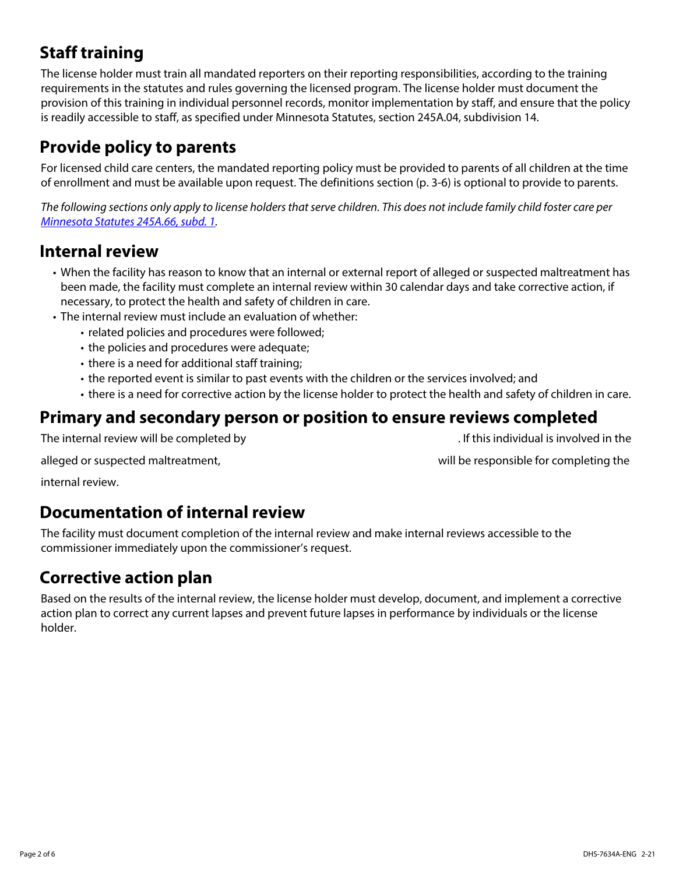# **Staff training**

The license holder must train all mandated reporters on their reporting responsibilities, according to the training requirements in the statutes and rules governing the licensed program. The license holder must document the provision of this training in individual personnel records, monitor implementation by staff, and ensure that the policy is readily accessible to staff, as specified under Minnesota Statutes, section 245A.04, subdivision 14.

# **Provide policy to parents**

For licensed child care centers, the mandated reporting policy must be provided to parents of all children at the time of enrollment and must be available upon request. The definitions section (p. 3-6) is optional to provide to parents.

*The following sections only apply to license holders that serve children. This does not include family child foster care per [Minnesota Statutes 245A.66, subd. 1](https://www.revisor.mn.gov/statutes/cite/245A.66#stat.245A.66.1).* 

#### **Internal review**

- When the facility has reason to know that an internal or external report of alleged or suspected maltreatment has been made, the facility must complete an internal review within 30 calendar days and take corrective action, if necessary, to protect the health and safety of children in care.
- The internal review must include an evaluation of whether:
	- related policies and procedures were followed;
	- the policies and procedures were adequate;
	- there is a need for additional staff training;
	- the reported event is similar to past events with the children or the services involved; and
	- there is a need for corrective action by the license holder to protect the health and safety of children in care.

#### **Primary and secondary person or position to ensure reviews completed**

The internal review will be completed by . If this individual is involved in the

alleged or suspected maltreatment, will be responsible for completing the

internal review.

#### **Documentation of internal review**

The facility must document completion of the internal review and make internal reviews accessible to the commissioner immediately upon the commissioner's request.

# **Corrective action plan**

Based on the results of the internal review, the license holder must develop, document, and implement a corrective action plan to correct any current lapses and prevent future lapses in performance by individuals or the license holder.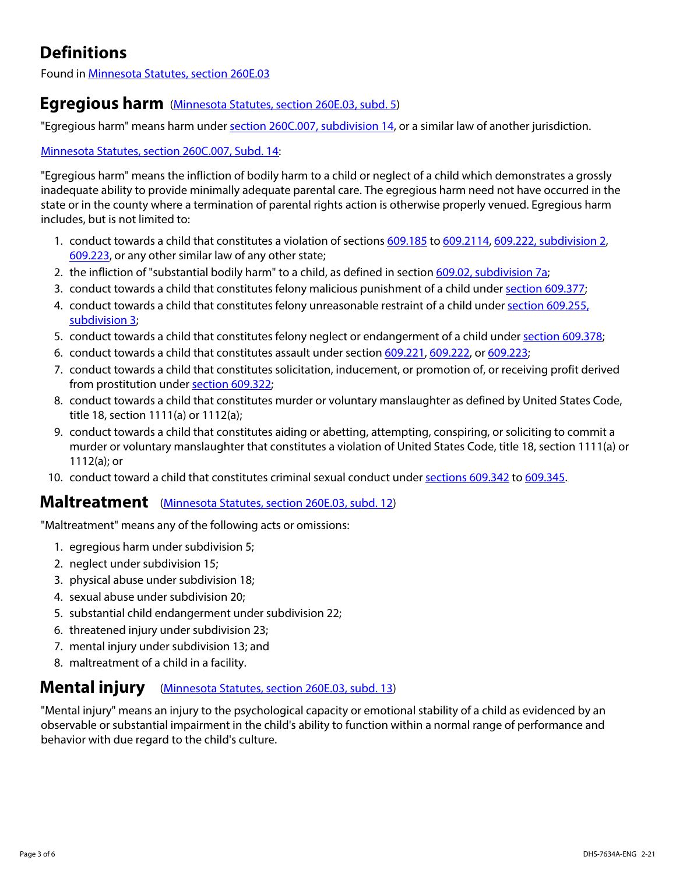# **Definitions**

Found in [Minnesota Statutes, section 260E.03](https://www.revisor.mn.gov/statutes/cite/260E.03)

#### **Egregious harm** [\(Minnesota Statutes, section 260E.03, subd. 5](https://www.revisor.mn.gov/statutes/cite/260E.03#stat.260E.03.5))

"Egregious harm" means harm under [section 260C.007, subdivision 14,](https://www.revisor.mn.gov/statutes/cite/260C.007) or a similar law of another jurisdiction.

#### [Minnesota Statutes, section 260C.007, Subd. 14](https://www.revisor.mn.gov/statutes/cite/260C.007#stat.260C.007.14):

"Egregious harm" means the infliction of bodily harm to a child or neglect of a child which demonstrates a grossly inadequate ability to provide minimally adequate parental care. The egregious harm need not have occurred in the state or in the county where a termination of parental rights action is otherwise properly venued. Egregious harm includes, but is not limited to:

- 1. conduct towards a child that constitutes a violation of sections [609.185](https://www.revisor.mn.gov/statutes/cite/609.185) to [609.2114](https://www.revisor.mn.gov/statutes/cite/609.2114), [609.222, subdivision 2,](https://www.revisor.mn.gov/statutes/cite/609.222#stat.609.222.2) [609.223](https://www.revisor.mn.gov/statutes/cite/609.223), or any other similar law of any other state;
- 2. the infliction of "substantial bodily harm" to a child, as defined in section [609.02, subdivision 7a](https://www.revisor.mn.gov/statutes/cite/609.02#stat.609.02.7a);
- 3. conduct towards a child that constitutes felony malicious punishment of a child under [section 609.377;](https://www.revisor.mn.gov/statutes/cite/609.377)
- 4. conduct towards a child that constitutes felony unreasonable restraint of a child under [section 609.255,](https://www.revisor.mn.gov/statutes/cite/609.255#stat.609.255.3)  [subdivision 3](https://www.revisor.mn.gov/statutes/cite/609.255#stat.609.255.3);
- 5. conduct towards a child that constitutes felony neglect or endangerment of a child under [section 609.378;](https://www.revisor.mn.gov/statutes/cite/609.378)
- 6. conduct towards a child that constitutes assault under section [609.221,](https://www.revisor.mn.gov/statutes/cite/609.221) [609.222](https://www.revisor.mn.gov/statutes/cite/609.222), or [609.223](https://www.revisor.mn.gov/statutes/cite/609.223);
- 7. conduct towards a child that constitutes solicitation, inducement, or promotion of, or receiving profit derived from prostitution under [section 609.322;](https://www.revisor.mn.gov/statutes/cite/609.322)
- 8. conduct towards a child that constitutes murder or voluntary manslaughter as defined by United States Code, title 18, section 1111(a) or 1112(a);
- 9. conduct towards a child that constitutes aiding or abetting, attempting, conspiring, or soliciting to commit a murder or voluntary manslaughter that constitutes a violation of United States Code, title 18, section 1111(a) or 1112(a); or
- 10. conduct toward a child that constitutes criminal sexual conduct under [sections 609.342](https://www.revisor.mn.gov/statutes/cite/609.342) to [609.345.](https://www.revisor.mn.gov/statutes/cite/609.345)

#### **Maltreatment** [\(Minnesota Statutes, section 260E.03, subd. 12\)](https://www.revisor.mn.gov/statutes/cite/260E.03#stat.260E.03.12)

"Maltreatment" means any of the following acts or omissions:

- 1. egregious harm under subdivision 5;
- 2. neglect under subdivision 15;
- 3. physical abuse under subdivision 18;
- 4. sexual abuse under subdivision 20;
- 5. substantial child endangerment under subdivision 22;
- 6. threatened injury under subdivision 23;
- 7. mental injury under subdivision 13; and
- 8. maltreatment of a child in a facility.

#### **Mental injury** [\(Minnesota Statutes, section 260E.03, subd. 13\)](https://www.revisor.mn.gov/statutes/cite/260E.03#stat.260E.03.13)

"Mental injury" means an injury to the psychological capacity or emotional stability of a child as evidenced by an observable or substantial impairment in the child's ability to function within a normal range of performance and behavior with due regard to the child's culture.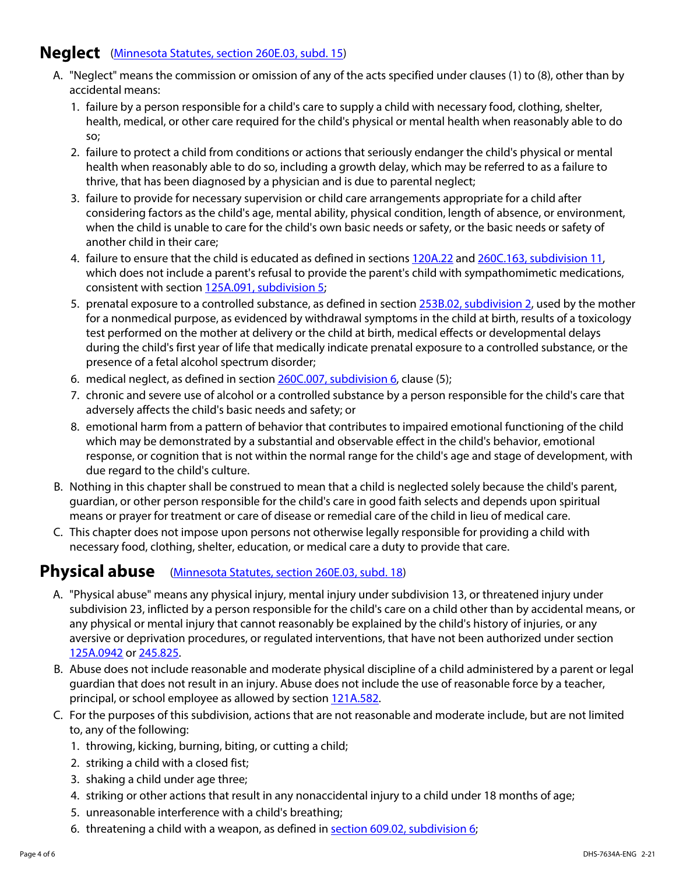#### **Neglect** [\(Minnesota Statutes, section 260E.03, subd. 15\)](https://www.revisor.mn.gov/statutes/cite/260E.03#stat.260E.03.15)

- A. "Neglect" means the commission or omission of any of the acts specified under clauses (1) to (8), other than by accidental means:
	- 1. failure by a person responsible for a child's care to supply a child with necessary food, clothing, shelter, health, medical, or other care required for the child's physical or mental health when reasonably able to do so;
	- 2. failure to protect a child from conditions or actions that seriously endanger the child's physical or mental health when reasonably able to do so, including a growth delay, which may be referred to as a failure to thrive, that has been diagnosed by a physician and is due to parental neglect;
	- 3. failure to provide for necessary supervision or child care arrangements appropriate for a child after considering factors as the child's age, mental ability, physical condition, length of absence, or environment, when the child is unable to care for the child's own basic needs or safety, or the basic needs or safety of another child in their care;
	- 4. failure to ensure that the child is educated as defined in sections [120A.22](https://www.revisor.mn.gov/statutes/cite/120A.22) and [260C.163, subdivision 11](https://www.revisor.mn.gov/statutes/cite/260C.163#stat.260C.163.11), which does not include a parent's refusal to provide the parent's child with sympathomimetic medications, consistent with section [125A.091, subdivision 5;](https://www.revisor.mn.gov/statutes/cite/125A.091)
	- 5. prenatal exposure to a controlled substance, as defined in section [253B.02, subdivision 2](https://www.revisor.mn.gov/statutes/cite/253B.02), used by the mother for a nonmedical purpose, as evidenced by withdrawal symptoms in the child at birth, results of a toxicology test performed on the mother at delivery or the child at birth, medical effects or developmental delays during the child's first year of life that medically indicate prenatal exposure to a controlled substance, or the presence of a fetal alcohol spectrum disorder;
	- 6. medical neglect, as defined in section [260C.007, subdivision 6](https://www.revisor.mn.gov/statutes/cite/260C.007#stat.260C.007.6), clause (5);
	- 7. chronic and severe use of alcohol or a controlled substance by a person responsible for the child's care that adversely affects the child's basic needs and safety; or
	- 8. emotional harm from a pattern of behavior that contributes to impaired emotional functioning of the child which may be demonstrated by a substantial and observable effect in the child's behavior, emotional response, or cognition that is not within the normal range for the child's age and stage of development, with due regard to the child's culture.
- B. Nothing in this chapter shall be construed to mean that a child is neglected solely because the child's parent, guardian, or other person responsible for the child's care in good faith selects and depends upon spiritual means or prayer for treatment or care of disease or remedial care of the child in lieu of medical care.
- C. This chapter does not impose upon persons not otherwise legally responsible for providing a child with necessary food, clothing, shelter, education, or medical care a duty to provide that care.

#### **Physical abuse** [\(Minnesota Statutes, section 260E.03, subd. 18\)](https://www.revisor.mn.gov/statutes/cite/260E.03#stat.260E.03.18)

- A. "Physical abuse" means any physical injury, mental injury under subdivision 13, or threatened injury under subdivision 23, inflicted by a person responsible for the child's care on a child other than by accidental means, or any physical or mental injury that cannot reasonably be explained by the child's history of injuries, or any aversive or deprivation procedures, or regulated interventions, that have not been authorized under section [125A.0942](https://www.revisor.mn.gov/statutes/cite/125A.0942) or [245.825.](https://www.revisor.mn.gov/statutes/cite/245.825)
- B. Abuse does not include reasonable and moderate physical discipline of a child administered by a parent or legal guardian that does not result in an injury. Abuse does not include the use of reasonable force by a teacher, principal, or school employee as allowed by section [121A.582](https://www.revisor.mn.gov/statutes/cite/121A.582).
- C. For the purposes of this subdivision, actions that are not reasonable and moderate include, but are not limited to, any of the following:
	- 1. throwing, kicking, burning, biting, or cutting a child;
	- 2. striking a child with a closed fist;
	- 3. shaking a child under age three;
	- 4. striking or other actions that result in any nonaccidental injury to a child under 18 months of age;
	- 5. unreasonable interference with a child's breathing;
	- 6. threatening a child with a weapon, as defined in [section 609.02, subdivision 6;](https://www.revisor.mn.gov/statutes/cite/609.02#stat.609.02.6)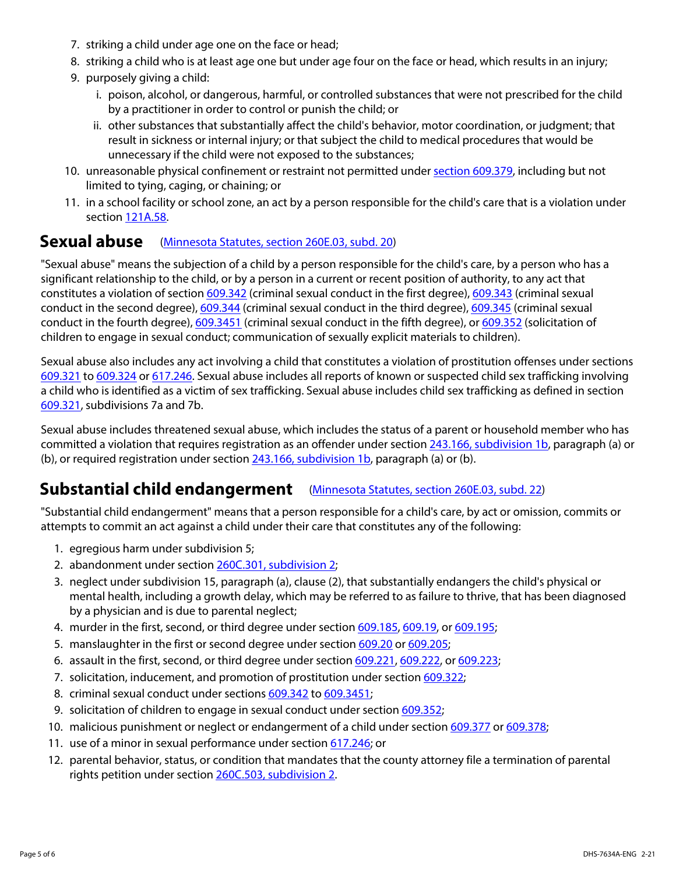- 7. striking a child under age one on the face or head;
- 8. striking a child who is at least age one but under age four on the face or head, which results in an injury;
- 9. purposely giving a child:
	- i. poison, alcohol, or dangerous, harmful, or controlled substances that were not prescribed for the child by a practitioner in order to control or punish the child; or
	- ii. other substances that substantially affect the child's behavior, motor coordination, or judgment; that result in sickness or internal injury; or that subject the child to medical procedures that would be unnecessary if the child were not exposed to the substances;
- 10. unreasonable physical confinement or restraint not permitted under [section 609.379,](https://www.revisor.mn.gov/statutes/cite/609.379) including but not limited to tying, caging, or chaining; or
- 11. in a school facility or school zone, an act by a person responsible for the child's care that is a violation under section [121A.58.](https://www.revisor.mn.gov/statutes/cite/121A.58)

#### **Sexual abuse** [\(Minnesota Statutes, section 260E.03, subd. 20\)](https://www.revisor.mn.gov/statutes/cite/260E.03#stat.260E.03.20)

"Sexual abuse" means the subjection of a child by a person responsible for the child's care, by a person who has a significant relationship to the child, or by a person in a current or recent position of authority, to any act that constitutes a violation of section [609.342](https://www.revisor.mn.gov/statutes/cite/609.342) (criminal sexual conduct in the first degree), [609.343](https://www.revisor.mn.gov/statutes/cite/609.343) (criminal sexual conduct in the second degree), [609.344](https://www.revisor.mn.gov/statutes/cite/609.344) (criminal sexual conduct in the third degree), [609.345](https://www.revisor.mn.gov/statutes/cite/609.345) (criminal sexual conduct in the fourth degree), [609.3451](https://www.revisor.mn.gov/statutes/cite/609.3451) (criminal sexual conduct in the fifth degree), or [609.352](https://www.revisor.mn.gov/statutes/cite/609.352) (solicitation of children to engage in sexual conduct; communication of sexually explicit materials to children).

Sexual abuse also includes any act involving a child that constitutes a violation of prostitution offenses under sections [609.321](https://www.revisor.mn.gov/statutes/cite/609.321) to [609.324](https://www.revisor.mn.gov/statutes/cite/609.324) or [617.246](https://www.revisor.mn.gov/statutes/cite/617.246). Sexual abuse includes all reports of known or suspected child sex trafficking involving a child who is identified as a victim of sex trafficking. Sexual abuse includes child sex trafficking as defined in section [609.321](https://www.revisor.mn.gov/statutes/cite/609.321), subdivisions 7a and 7b.

Sexual abuse includes threatened sexual abuse, which includes the status of a parent or household member who has committed a violation that requires registration as an offender under section [243.166, subdivision 1b,](https://www.revisor.mn.gov/statutes/cite/243.166#stat.243.166.1b) paragraph (a) or (b), or required registration under section  $243.166$ , subdivision 1b, paragraph (a) or (b).

#### **Substantial child endangerment** [\(Minnesota Statutes, section 260E.03, subd. 22\)](https://www.revisor.mn.gov/statutes/cite/260E.03#stat.260E.03.22)

"Substantial child endangerment" means that a person responsible for a child's care, by act or omission, commits or attempts to commit an act against a child under their care that constitutes any of the following:

- 1. egregious harm under subdivision 5;
- 2. abandonment under section [260C.301, subdivision 2;](https://www.revisor.mn.gov/statutes/cite/260C.301#stat.260C.301.2)
- 3. neglect under subdivision 15, paragraph (a), clause (2), that substantially endangers the child's physical or mental health, including a growth delay, which may be referred to as failure to thrive, that has been diagnosed by a physician and is due to parental neglect;
- 4. murder in the first, second, or third degree under section [609.185](https://www.revisor.mn.gov/statutes/cite/609.185), [609.19,](https://www.revisor.mn.gov/statutes/cite/609.19) or [609.195](https://www.revisor.mn.gov/statutes/cite/609.195);
- 5. manslaughter in the first or second degree under section [609.20](https://www.revisor.mn.gov/statutes/cite/609.20) or [609.205](https://www.revisor.mn.gov/statutes/cite/609.205);
- 6. assault in the first, second, or third degree under section [609.221,](https://www.revisor.mn.gov/statutes/cite/609.221) [609.222,](https://www.revisor.mn.gov/statutes/cite/609.222) or [609.223](https://www.revisor.mn.gov/statutes/cite/609.223);
- 7. solicitation, inducement, and promotion of prostitution under section [609.322](https://www.revisor.mn.gov/statutes/cite/609.322);
- 8. criminal sexual conduct under sections [609.342](https://www.revisor.mn.gov/statutes/cite/609.342) to [609.3451;](https://www.revisor.mn.gov/statutes/cite/609.3451)
- 9. solicitation of children to engage in sexual conduct under section [609.352](https://www.revisor.mn.gov/statutes/cite/609.352);
- 10. malicious punishment or neglect or endangerment of a child under section [609.377](https://www.revisor.mn.gov/statutes/cite/609.377) or [609.378;](https://www.revisor.mn.gov/statutes/cite/609.378)
- 11. use of a minor in sexual performance under section [617.246;](https://www.revisor.mn.gov/statutes/cite/617.246) or
- 12. parental behavior, status, or condition that mandates that the county attorney file a termination of parental rights petition under section [260C.503, subdivision 2](https://www.revisor.mn.gov/statutes/cite/260C.503#stat.260C.503.2).